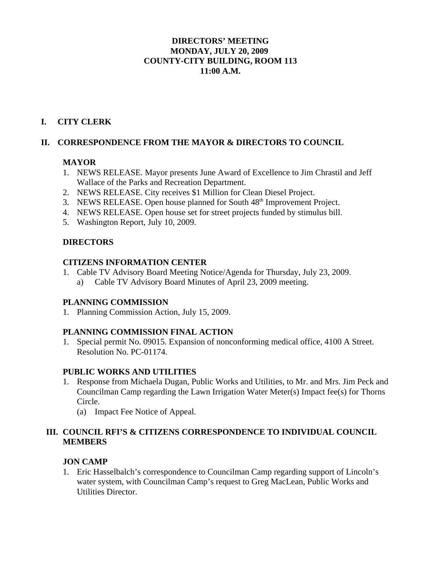## **DIRECTORS' MEETING MONDAY, JULY 20, 2009 COUNTY-CITY BUILDING, ROOM 113 11:00 A.M.**

# **I. CITY CLERK**

## **II. CORRESPONDENCE FROM THE MAYOR & DIRECTORS TO COUNCIL**

# **MAYOR**

- 1. NEWS RELEASE. Mayor presents June Award of Excellence to Jim Chrastil and Jeff Wallace of the Parks and Recreation Department.
- 2. NEWS RELEASE. City receives \$1 Million for Clean Diesel Project.
- 3. NEWS RELEASE. Open house planned for South 48<sup>th</sup> Improvement Project.
- 4. NEWS RELEASE. Open house set for street projects funded by stimulus bill.
- 5. Washington Report, July 10, 2009.

# **DIRECTORS**

### **CITIZENS INFORMATION CENTER**

1. Cable TV Advisory Board Meeting Notice/Agenda for Thursday, July 23, 2009. a) Cable TV Advisory Board Minutes of April 23, 2009 meeting.

# **PLANNING COMMISSION**

1. Planning Commission Action, July 15, 2009.

# **PLANNING COMMISSION FINAL ACTION**

1. Special permit No. 09015. Expansion of nonconforming medical office, 4100 A Street. Resolution No. PC-01174.

# **PUBLIC WORKS AND UTILITIES**

- 1. Response from Michaela Dugan, Public Works and Utilities, to Mr. and Mrs. Jim Peck and Councilman Camp regarding the Lawn Irrigation Water Meter(s) Impact fee(s) for Thorns Circle.
	- (a) Impact Fee Notice of Appeal.

# **III. COUNCIL RFI'S & CITIZENS CORRESPONDENCE TO INDIVIDUAL COUNCIL MEMBERS**

### **JON CAMP**

1. Eric Hasselbalch's correspondence to Councilman Camp regarding support of Lincoln's water system, with Councilman Camp's request to Greg MacLean, Public Works and Utilities Director.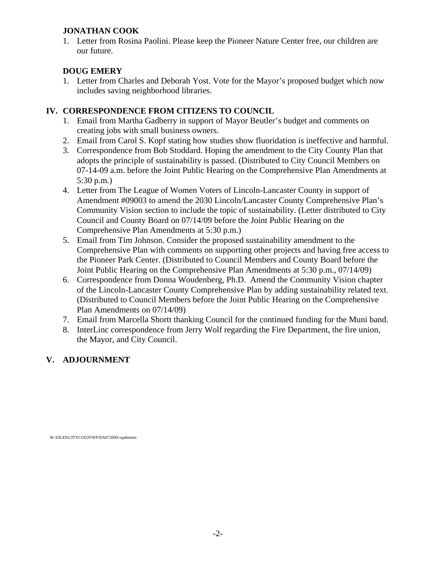# **JONATHAN COOK**

1. Letter from Rosina Paolini. Please keep the Pioneer Nature Center free, our children are our future.

# **DOUG EMERY**

1. Letter from Charles and Deborah Yost. Vote for the Mayor's proposed budget which now includes saving neighborhood libraries.

# **IV. CORRESPONDENCE FROM CITIZENS TO COUNCIL**

- 1. Email from Martha Gadberry in support of Mayor Beutler's budget and comments on creating jobs with small business owners.
- 2. Email from Carol S. Kopf stating how studies show fluoridation is ineffective and harmful.
- 3. Correspondence from Bob Stoddard. Hoping the amendment to the City County Plan that adopts the principle of sustainability is passed. (Distributed to City Council Members on 07-14-09 a.m. before the Joint Public Hearing on the Comprehensive Plan Amendments at 5:30 p.m.)
- 4. Letter from The League of Women Voters of Lincoln-Lancaster County in support of Amendment #09003 to amend the 2030 Lincoln/Lancaster County Comprehensive Plan's Community Vision section to include the topic of sustainability. (Letter distributed to City Council and County Board on 07/14/09 before the Joint Public Hearing on the Comprehensive Plan Amendments at 5:30 p.m.)
- 5. Email from Tim Johnson. Consider the proposed sustainability amendment to the Comprehensive Plan with comments on supporting other projects and having free access to the Pioneer Park Center. (Distributed to Council Members and County Board before the Joint Public Hearing on the Comprehensive Plan Amendments at 5:30 p.m., 07/14/09)
- 6. Correspondence from Donna Woudenberg, Ph.D. Amend the Community Vision chapter of the Lincoln-Lancaster County Comprehensive Plan by adding sustainability related text. (Distributed to Council Members before the Joint Public Hearing on the Comprehensive Plan Amendments on 07/14/09)
- 7. Email from Marcella Shortt thanking Council for the continued funding for the Muni band.
- 8. InterLinc correspondence from Jerry Wolf regarding the Fire Department, the fire union, the Mayor, and City Council.

# **V. ADJOURNMENT**

W:\FILES\CITYCOUN\WP\DA072009.wpdmmm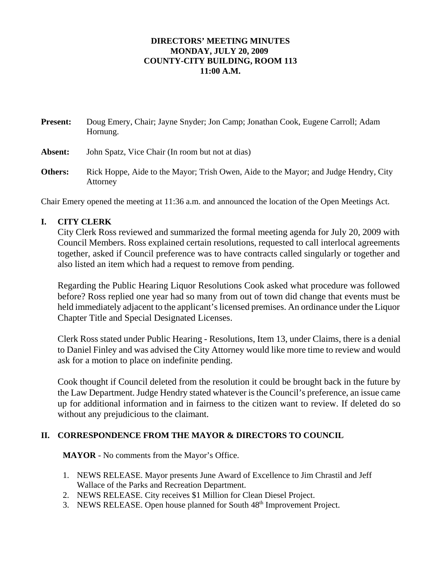#### **DIRECTORS' MEETING MINUTES MONDAY, JULY 20, 2009 COUNTY-CITY BUILDING, ROOM 113 11:00 A.M.**

| <b>Present:</b> | Doug Emery, Chair; Jayne Snyder; Jon Camp; Jonathan Cook, Eugene Carroll; Adam<br>Hornung.       |
|-----------------|--------------------------------------------------------------------------------------------------|
| Absent:         | John Spatz, Vice Chair (In room but not at dias)                                                 |
| <b>Others:</b>  | Rick Hoppe, Aide to the Mayor; Trish Owen, Aide to the Mayor; and Judge Hendry, City<br>Attorney |

Chair Emery opened the meeting at 11:36 a.m. and announced the location of the Open Meetings Act.

# **I. CITY CLERK**

City Clerk Ross reviewed and summarized the formal meeting agenda for July 20, 2009 with Council Members. Ross explained certain resolutions, requested to call interlocal agreements together, asked if Council preference was to have contracts called singularly or together and also listed an item which had a request to remove from pending.

Regarding the Public Hearing Liquor Resolutions Cook asked what procedure was followed before? Ross replied one year had so many from out of town did change that events must be held immediately adjacent to the applicant's licensed premises. An ordinance under the Liquor Chapter Title and Special Designated Licenses.

Clerk Ross stated under Public Hearing - Resolutions, Item 13, under Claims, there is a denial to Daniel Finley and was advised the City Attorney would like more time to review and would ask for a motion to place on indefinite pending.

Cook thought if Council deleted from the resolution it could be brought back in the future by the Law Department. Judge Hendry stated whatever is the Council's preference, an issue came up for additional information and in fairness to the citizen want to review. If deleted do so without any prejudicious to the claimant.

### **II. CORRESPONDENCE FROM THE MAYOR & DIRECTORS TO COUNCIL**

**MAYOR** - No comments from the Mayor's Office.

- 1. NEWS RELEASE. Mayor presents June Award of Excellence to Jim Chrastil and Jeff Wallace of the Parks and Recreation Department.
- 2. NEWS RELEASE. City receives \$1 Million for Clean Diesel Project.
- 3. NEWS RELEASE. Open house planned for South 48<sup>th</sup> Improvement Project.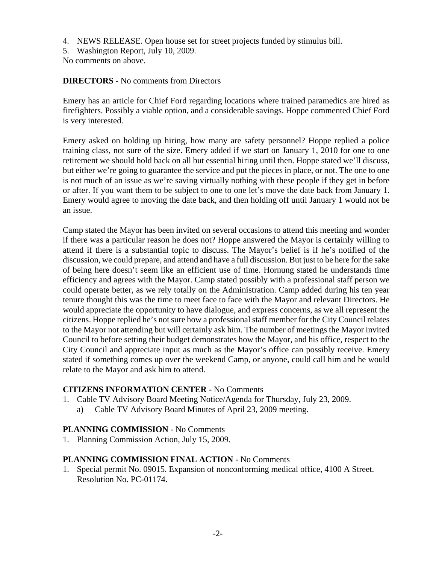- 4. NEWS RELEASE. Open house set for street projects funded by stimulus bill.
- 5. Washington Report, July 10, 2009.

No comments on above.

#### **DIRECTORS** - No comments from Directors

Emery has an article for Chief Ford regarding locations where trained paramedics are hired as firefighters. Possibly a viable option, and a considerable savings. Hoppe commented Chief Ford is very interested.

Emery asked on holding up hiring, how many are safety personnel? Hoppe replied a police training class, not sure of the size. Emery added if we start on January 1, 2010 for one to one retirement we should hold back on all but essential hiring until then. Hoppe stated we'll discuss, but either we're going to guarantee the service and put the pieces in place, or not. The one to one is not much of an issue as we're saving virtually nothing with these people if they get in before or after. If you want them to be subject to one to one let's move the date back from January 1. Emery would agree to moving the date back, and then holding off until January 1 would not be an issue.

Camp stated the Mayor has been invited on several occasions to attend this meeting and wonder if there was a particular reason he does not? Hoppe answered the Mayor is certainly willing to attend if there is a substantial topic to discuss. The Mayor's belief is if he's notified of the discussion, we could prepare, and attend and have a full discussion. But just to be here for the sake of being here doesn't seem like an efficient use of time. Hornung stated he understands time efficiency and agrees with the Mayor. Camp stated possibly with a professional staff person we could operate better, as we rely totally on the Administration. Camp added during his ten year tenure thought this was the time to meet face to face with the Mayor and relevant Directors. He would appreciate the opportunity to have dialogue, and express concerns, as we all represent the citizens. Hoppe replied he's not sure how a professional staff member for the City Council relates to the Mayor not attending but will certainly ask him. The number of meetings the Mayor invited Council to before setting their budget demonstrates how the Mayor, and his office, respect to the City Council and appreciate input as much as the Mayor's office can possibly receive. Emery stated if something comes up over the weekend Camp, or anyone, could call him and he would relate to the Mayor and ask him to attend.

### **CITIZENS INFORMATION CENTER** - No Comments

- 1. Cable TV Advisory Board Meeting Notice/Agenda for Thursday, July 23, 2009.
	- a) Cable TV Advisory Board Minutes of April 23, 2009 meeting.

#### **PLANNING COMMISSION** - No Comments

1. Planning Commission Action, July 15, 2009.

#### **PLANNING COMMISSION FINAL ACTION** - No Comments

1. Special permit No. 09015. Expansion of nonconforming medical office, 4100 A Street. Resolution No. PC-01174.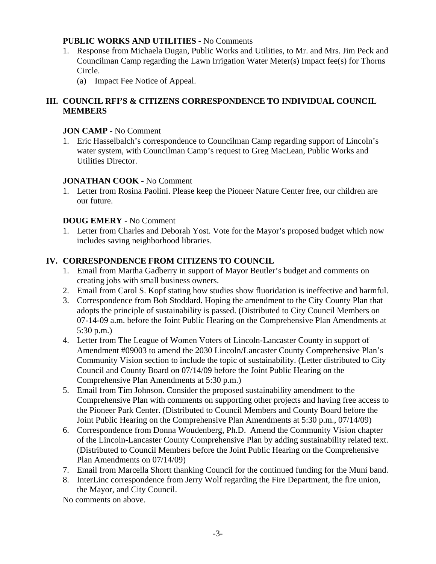## **PUBLIC WORKS AND UTILITIES** - No Comments

- 1. Response from Michaela Dugan, Public Works and Utilities, to Mr. and Mrs. Jim Peck and Councilman Camp regarding the Lawn Irrigation Water Meter(s) Impact fee(s) for Thorns Circle.
	- (a) Impact Fee Notice of Appeal.

# **III. COUNCIL RFI'S & CITIZENS CORRESPONDENCE TO INDIVIDUAL COUNCIL MEMBERS**

## **JON CAMP** - No Comment

1. Eric Hasselbalch's correspondence to Councilman Camp regarding support of Lincoln's water system, with Councilman Camp's request to Greg MacLean, Public Works and Utilities Director.

# **JONATHAN COOK** - No Comment

1. Letter from Rosina Paolini. Please keep the Pioneer Nature Center free, our children are our future.

# **DOUG EMERY** - No Comment

1. Letter from Charles and Deborah Yost. Vote for the Mayor's proposed budget which now includes saving neighborhood libraries.

# **IV. CORRESPONDENCE FROM CITIZENS TO COUNCIL**

- 1. Email from Martha Gadberry in support of Mayor Beutler's budget and comments on creating jobs with small business owners.
- 2. Email from Carol S. Kopf stating how studies show fluoridation is ineffective and harmful.
- 3. Correspondence from Bob Stoddard. Hoping the amendment to the City County Plan that adopts the principle of sustainability is passed. (Distributed to City Council Members on 07-14-09 a.m. before the Joint Public Hearing on the Comprehensive Plan Amendments at 5:30 p.m.)
- 4. Letter from The League of Women Voters of Lincoln-Lancaster County in support of Amendment #09003 to amend the 2030 Lincoln/Lancaster County Comprehensive Plan's Community Vision section to include the topic of sustainability. (Letter distributed to City Council and County Board on 07/14/09 before the Joint Public Hearing on the Comprehensive Plan Amendments at 5:30 p.m.)
- 5. Email from Tim Johnson. Consider the proposed sustainability amendment to the Comprehensive Plan with comments on supporting other projects and having free access to the Pioneer Park Center. (Distributed to Council Members and County Board before the Joint Public Hearing on the Comprehensive Plan Amendments at 5:30 p.m., 07/14/09)
- 6. Correspondence from Donna Woudenberg, Ph.D. Amend the Community Vision chapter of the Lincoln-Lancaster County Comprehensive Plan by adding sustainability related text. (Distributed to Council Members before the Joint Public Hearing on the Comprehensive Plan Amendments on 07/14/09)
- 7. Email from Marcella Shortt thanking Council for the continued funding for the Muni band.
- 8. InterLinc correspondence from Jerry Wolf regarding the Fire Department, the fire union, the Mayor, and City Council.

No comments on above.